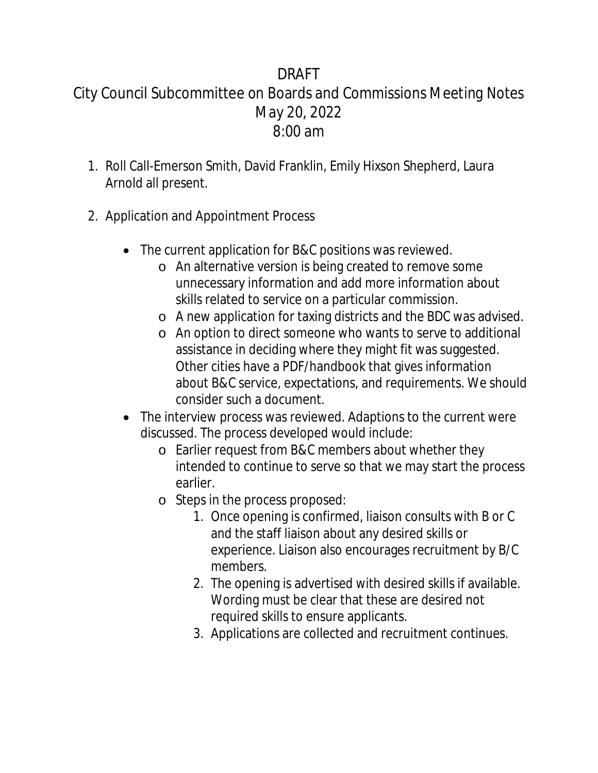## DRAFT City Council Subcommittee on Boards and Commissions Meeting Notes May 20, 2022 8:00 am

- 1. Roll Call-Emerson Smith, David Franklin, Emily Hixson Shepherd, Laura Arnold all present.
- 2. Application and Appointment Process
	- The current application for B&C positions was reviewed.
		- o An alternative version is being created to remove some unnecessary information and add more information about skills related to service on a particular commission.
		- o A new application for taxing districts and the BDC was advised.
		- o An option to direct someone who wants to serve to additional assistance in deciding where they might fit was suggested. Other cities have a PDF/handbook that gives information about B&C service, expectations, and requirements. We should consider such a document.
	- The interview process was reviewed. Adaptions to the current were discussed. The process developed would include:
		- o Earlier request from B&C members about whether they intended to continue to serve so that we may start the process earlier.
		- o Steps in the process proposed:
			- 1. Once opening is confirmed, liaison consults with B or C and the staff liaison about any desired skills or experience. Liaison also encourages recruitment by B/C members.
			- 2. The opening is advertised with desired skills if available. Wording must be clear that these are desired not required skills to ensure applicants.
			- 3. Applications are collected and recruitment continues.